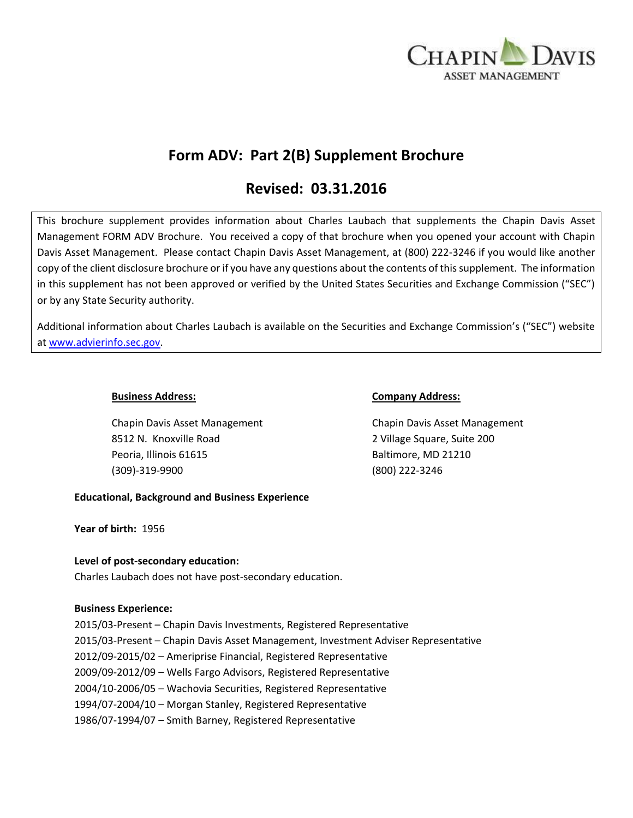

# **Form ADV: Part 2(B) Supplement Brochure**

# **Revised: 03.31.2016**

This brochure supplement provides information about Charles Laubach that supplements the Chapin Davis Asset Management FORM ADV Brochure. You received a copy of that brochure when you opened your account with Chapin Davis Asset Management. Please contact Chapin Davis Asset Management, at (800) 222-3246 if you would like another copy of the client disclosure brochure or if you have any questions about the contents of this supplement. The information in this supplement has not been approved or verified by the United States Securities and Exchange Commission ("SEC") or by any State Security authority.

Additional information about Charles Laubach is available on the Securities and Exchange Commission's ("SEC") website at [www.advierinfo.sec.gov.](http://www.advierinfo.sec.gov/)

Chapin Davis Asset Management Chapin Davis Asset Management 8512 N. Knoxville Road 2 Village Square, Suite 200 Peoria, Illinois 61615 Baltimore, MD 21210 (309)-319-9900 (800) 222-3246

#### **Business Address: Company Address:**

## **Educational, Background and Business Experience**

**Year of birth:** 1956

## **Level of post-secondary education:**

Charles Laubach does not have post-secondary education.

#### **Business Experience:**

2015/03-Present – Chapin Davis Investments, Registered Representative 2015/03-Present – Chapin Davis Asset Management, Investment Adviser Representative 2012/09-2015/02 – Ameriprise Financial, Registered Representative 2009/09-2012/09 – Wells Fargo Advisors, Registered Representative 2004/10-2006/05 – Wachovia Securities, Registered Representative 1994/07-2004/10 – Morgan Stanley, Registered Representative 1986/07-1994/07 – Smith Barney, Registered Representative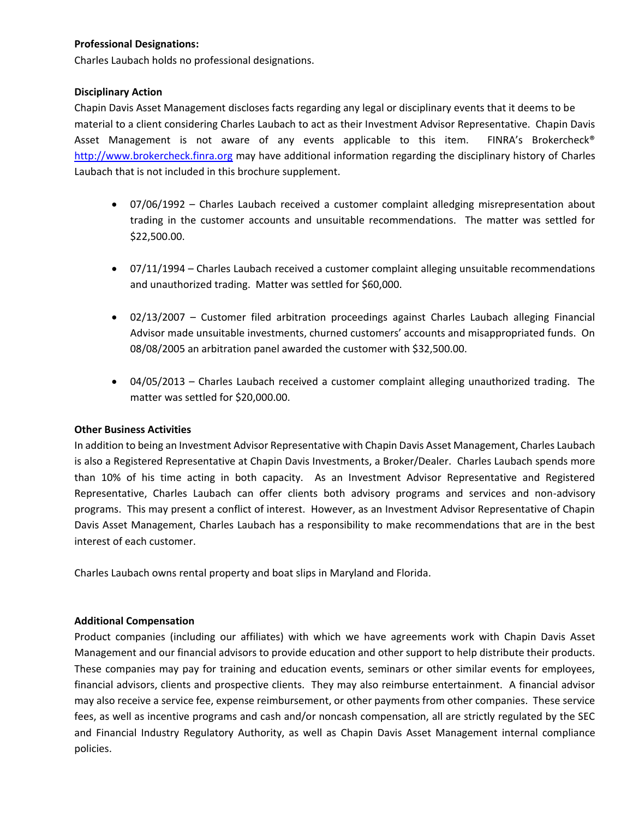## **Professional Designations:**

Charles Laubach holds no professional designations.

## **Disciplinary Action**

Chapin Davis Asset Management discloses facts regarding any legal or disciplinary events that it deems to be material to a client considering Charles Laubach to act as their Investment Advisor Representative. Chapin Davis Asset Management is not aware of any events applicable to this item. FINRA's Brokercheck® [http://www.brokercheck.finra.org](http://www.brokercheck.finra.org/) may have additional information regarding the disciplinary history of Charles Laubach that is not included in this brochure supplement.

- 07/06/1992 Charles Laubach received a customer complaint alledging misrepresentation about trading in the customer accounts and unsuitable recommendations. The matter was settled for \$22,500.00.
- 07/11/1994 Charles Laubach received a customer complaint alleging unsuitable recommendations and unauthorized trading. Matter was settled for \$60,000.
- 02/13/2007 Customer filed arbitration proceedings against Charles Laubach alleging Financial Advisor made unsuitable investments, churned customers' accounts and misappropriated funds. On 08/08/2005 an arbitration panel awarded the customer with \$32,500.00.
- 04/05/2013 Charles Laubach received a customer complaint alleging unauthorized trading. The matter was settled for \$20,000.00.

## **Other Business Activities**

In addition to being an Investment Advisor Representative with Chapin Davis Asset Management, Charles Laubach is also a Registered Representative at Chapin Davis Investments, a Broker/Dealer. Charles Laubach spends more than 10% of his time acting in both capacity. As an Investment Advisor Representative and Registered Representative, Charles Laubach can offer clients both advisory programs and services and non-advisory programs. This may present a conflict of interest. However, as an Investment Advisor Representative of Chapin Davis Asset Management, Charles Laubach has a responsibility to make recommendations that are in the best interest of each customer.

Charles Laubach owns rental property and boat slips in Maryland and Florida.

## **Additional Compensation**

Product companies (including our affiliates) with which we have agreements work with Chapin Davis Asset Management and our financial advisors to provide education and other support to help distribute their products. These companies may pay for training and education events, seminars or other similar events for employees, financial advisors, clients and prospective clients. They may also reimburse entertainment. A financial advisor may also receive a service fee, expense reimbursement, or other payments from other companies. These service fees, as well as incentive programs and cash and/or noncash compensation, all are strictly regulated by the SEC and Financial Industry Regulatory Authority, as well as Chapin Davis Asset Management internal compliance policies.